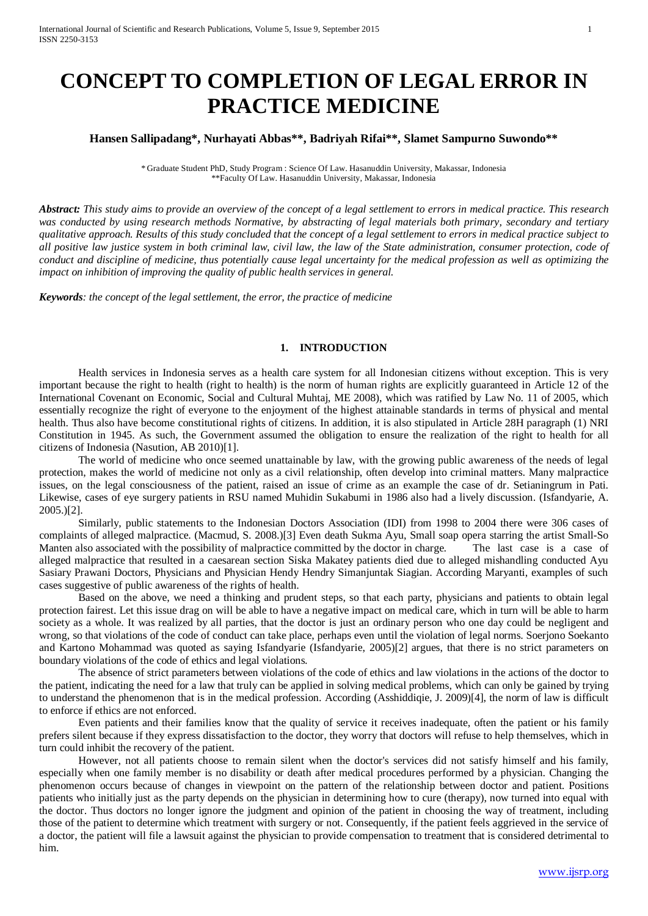# **CONCEPT TO COMPLETION OF LEGAL ERROR IN PRACTICE MEDICINE**

# **Hansen Sallipadang\*, Nurhayati Abbas\*\*, Badriyah Rifai\*\*, Slamet Sampurno Suwondo\*\***

\* Graduate Student PhD, Study Program : Science Of Law. Hasanuddin University, Makassar, Indonesia \*\*Faculty Of Law. Hasanuddin University, Makassar, Indonesia

*Abstract: This study aims to provide an overview of the concept of a legal settlement to errors in medical practice. This research was conducted by using research methods Normative, by abstracting of legal materials both primary, secondary and tertiary qualitative approach. Results of this study concluded that the concept of a legal settlement to errors in medical practice subject to all positive law justice system in both criminal law, civil law, the law of the State administration, consumer protection, code of conduct and discipline of medicine, thus potentially cause legal uncertainty for the medical profession as well as optimizing the impact on inhibition of improving the quality of public health services in general.*

*Keywords: the concept of the legal settlement, the error, the practice of medicine*

#### **1. INTRODUCTION**

Health services in Indonesia serves as a health care system for all Indonesian citizens without exception. This is very important because the right to health (right to health) is the norm of human rights are explicitly guaranteed in Article 12 of the International Covenant on Economic, Social and Cultural Muhtaj, ME 2008), which was ratified by Law No. 11 of 2005, which essentially recognize the right of everyone to the enjoyment of the highest attainable standards in terms of physical and mental health. Thus also have become constitutional rights of citizens. In addition, it is also stipulated in Article 28H paragraph (1) NRI Constitution in 1945. As such, the Government assumed the obligation to ensure the realization of the right to health for all citizens of Indonesia (Nasution, AB 2010)[1].

The world of medicine who once seemed unattainable by law, with the growing public awareness of the needs of legal protection, makes the world of medicine not only as a civil relationship, often develop into criminal matters. Many malpractice issues, on the legal consciousness of the patient, raised an issue of crime as an example the case of dr. Setianingrum in Pati. Likewise, cases of eye surgery patients in RSU named Muhidin Sukabumi in 1986 also had a lively discussion. (Isfandyarie, A. 2005.)[2].

Similarly, public statements to the Indonesian Doctors Association (IDI) from 1998 to 2004 there were 306 cases of complaints of alleged malpractice. (Macmud, S. 2008.)[3] Even death Sukma Ayu, Small soap opera starring the artist Small-So Manten also associated with the possibility of malpractice committed by the doctor in charge. The last case is a case of alleged malpractice that resulted in a caesarean section Siska Makatey patients died due to alleged mishandling conducted Ayu Sasiary Prawani Doctors, Physicians and Physician Hendy Hendry Simanjuntak Siagian. According Maryanti, examples of such cases suggestive of public awareness of the rights of health.

Based on the above, we need a thinking and prudent steps, so that each party, physicians and patients to obtain legal protection fairest. Let this issue drag on will be able to have a negative impact on medical care, which in turn will be able to harm society as a whole. It was realized by all parties, that the doctor is just an ordinary person who one day could be negligent and wrong, so that violations of the code of conduct can take place, perhaps even until the violation of legal norms. Soerjono Soekanto and Kartono Mohammad was quoted as saying Isfandyarie (Isfandyarie, 2005)[2] argues, that there is no strict parameters on boundary violations of the code of ethics and legal violations.

The absence of strict parameters between violations of the code of ethics and law violations in the actions of the doctor to the patient, indicating the need for a law that truly can be applied in solving medical problems, which can only be gained by trying to understand the phenomenon that is in the medical profession. According (Asshiddiqie, J. 2009)[4], the norm of law is difficult to enforce if ethics are not enforced.

Even patients and their families know that the quality of service it receives inadequate, often the patient or his family prefers silent because if they express dissatisfaction to the doctor, they worry that doctors will refuse to help themselves, which in turn could inhibit the recovery of the patient.

However, not all patients choose to remain silent when the doctor's services did not satisfy himself and his family, especially when one family member is no disability or death after medical procedures performed by a physician. Changing the phenomenon occurs because of changes in viewpoint on the pattern of the relationship between doctor and patient. Positions patients who initially just as the party depends on the physician in determining how to cure (therapy), now turned into equal with the doctor. Thus doctors no longer ignore the judgment and opinion of the patient in choosing the way of treatment, including those of the patient to determine which treatment with surgery or not. Consequently, if the patient feels aggrieved in the service of a doctor, the patient will file a lawsuit against the physician to provide compensation to treatment that is considered detrimental to him.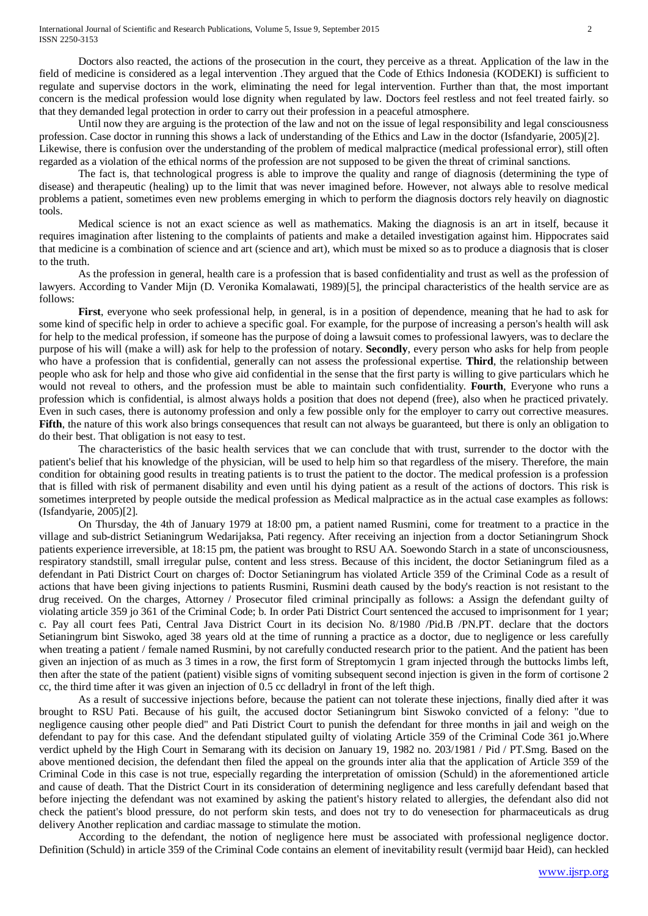Doctors also reacted, the actions of the prosecution in the court, they perceive as a threat. Application of the law in the field of medicine is considered as a legal intervention .They argued that the Code of Ethics Indonesia (KODEKI) is sufficient to regulate and supervise doctors in the work, eliminating the need for legal intervention. Further than that, the most important concern is the medical profession would lose dignity when regulated by law. Doctors feel restless and not feel treated fairly. so that they demanded legal protection in order to carry out their profession in a peaceful atmosphere.

Until now they are arguing is the protection of the law and not on the issue of legal responsibility and legal consciousness profession. Case doctor in running this shows a lack of understanding of the Ethics and Law in the doctor (Isfandyarie, 2005)[2].

Likewise, there is confusion over the understanding of the problem of medical malpractice (medical professional error), still often regarded as a violation of the ethical norms of the profession are not supposed to be given the threat of criminal sanctions.

The fact is, that technological progress is able to improve the quality and range of diagnosis (determining the type of disease) and therapeutic (healing) up to the limit that was never imagined before. However, not always able to resolve medical problems a patient, sometimes even new problems emerging in which to perform the diagnosis doctors rely heavily on diagnostic tools.

Medical science is not an exact science as well as mathematics. Making the diagnosis is an art in itself, because it requires imagination after listening to the complaints of patients and make a detailed investigation against him. Hippocrates said that medicine is a combination of science and art (science and art), which must be mixed so as to produce a diagnosis that is closer to the truth.

As the profession in general, health care is a profession that is based confidentiality and trust as well as the profession of lawyers. According to Vander Mijn (D. Veronika Komalawati, 1989)[5], the principal characteristics of the health service are as follows:

**First**, everyone who seek professional help, in general, is in a position of dependence, meaning that he had to ask for some kind of specific help in order to achieve a specific goal. For example, for the purpose of increasing a person's health will ask for help to the medical profession, if someone has the purpose of doing a lawsuit comes to professional lawyers, was to declare the purpose of his will (make a will) ask for help to the profession of notary. **Secondly**, every person who asks for help from people who have a profession that is confidential, generally can not assess the professional expertise. **Third**, the relationship between people who ask for help and those who give aid confidential in the sense that the first party is willing to give particulars which he would not reveal to others, and the profession must be able to maintain such confidentiality. **Fourth**, Everyone who runs a profession which is confidential, is almost always holds a position that does not depend (free), also when he practiced privately. Even in such cases, there is autonomy profession and only a few possible only for the employer to carry out corrective measures. **Fifth**, the nature of this work also brings consequences that result can not always be guaranteed, but there is only an obligation to do their best. That obligation is not easy to test.

The characteristics of the basic health services that we can conclude that with trust, surrender to the doctor with the patient's belief that his knowledge of the physician, will be used to help him so that regardless of the misery. Therefore, the main condition for obtaining good results in treating patients is to trust the patient to the doctor. The medical profession is a profession that is filled with risk of permanent disability and even until his dying patient as a result of the actions of doctors. This risk is sometimes interpreted by people outside the medical profession as Medical malpractice as in the actual case examples as follows: (Isfandyarie, 2005)[2].

On Thursday, the 4th of January 1979 at 18:00 pm, a patient named Rusmini, come for treatment to a practice in the village and sub-district Setianingrum Wedarijaksa, Pati regency. After receiving an injection from a doctor Setianingrum Shock patients experience irreversible, at 18:15 pm, the patient was brought to RSU AA. Soewondo Starch in a state of unconsciousness, respiratory standstill, small irregular pulse, content and less stress. Because of this incident, the doctor Setianingrum filed as a defendant in Pati District Court on charges of: Doctor Setianingrum has violated Article 359 of the Criminal Code as a result of actions that have been giving injections to patients Rusmini, Rusmini death caused by the body's reaction is not resistant to the drug received. On the charges, Attorney / Prosecutor filed criminal principally as follows: a Assign the defendant guilty of violating article 359 jo 361 of the Criminal Code; b. In order Pati District Court sentenced the accused to imprisonment for 1 year; c. Pay all court fees Pati, Central Java District Court in its decision No. 8/1980 /Pid.B /PN.PT. declare that the doctors Setianingrum bint Siswoko, aged 38 years old at the time of running a practice as a doctor, due to negligence or less carefully when treating a patient / female named Rusmini, by not carefully conducted research prior to the patient. And the patient has been given an injection of as much as 3 times in a row, the first form of Streptomycin 1 gram injected through the buttocks limbs left, then after the state of the patient (patient) visible signs of vomiting subsequent second injection is given in the form of cortisone 2 cc, the third time after it was given an injection of 0.5 cc delladryl in front of the left thigh.

As a result of successive injections before, because the patient can not tolerate these injections, finally died after it was brought to RSU Pati. Because of his guilt, the accused doctor Setianingrum bint Siswoko convicted of a felony: "due to negligence causing other people died" and Pati District Court to punish the defendant for three months in jail and weigh on the defendant to pay for this case. And the defendant stipulated guilty of violating Article 359 of the Criminal Code 361 jo.Where verdict upheld by the High Court in Semarang with its decision on January 19, 1982 no. 203/1981 / Pid / PT.Smg. Based on the above mentioned decision, the defendant then filed the appeal on the grounds inter alia that the application of Article 359 of the Criminal Code in this case is not true, especially regarding the interpretation of omission (Schuld) in the aforementioned article and cause of death. That the District Court in its consideration of determining negligence and less carefully defendant based that before injecting the defendant was not examined by asking the patient's history related to allergies, the defendant also did not check the patient's blood pressure, do not perform skin tests, and does not try to do venesection for pharmaceuticals as drug delivery Another replication and cardiac massage to stimulate the motion.

According to the defendant, the notion of negligence here must be associated with professional negligence doctor. Definition (Schuld) in article 359 of the Criminal Code contains an element of inevitability result (vermijd baar Heid), can heckled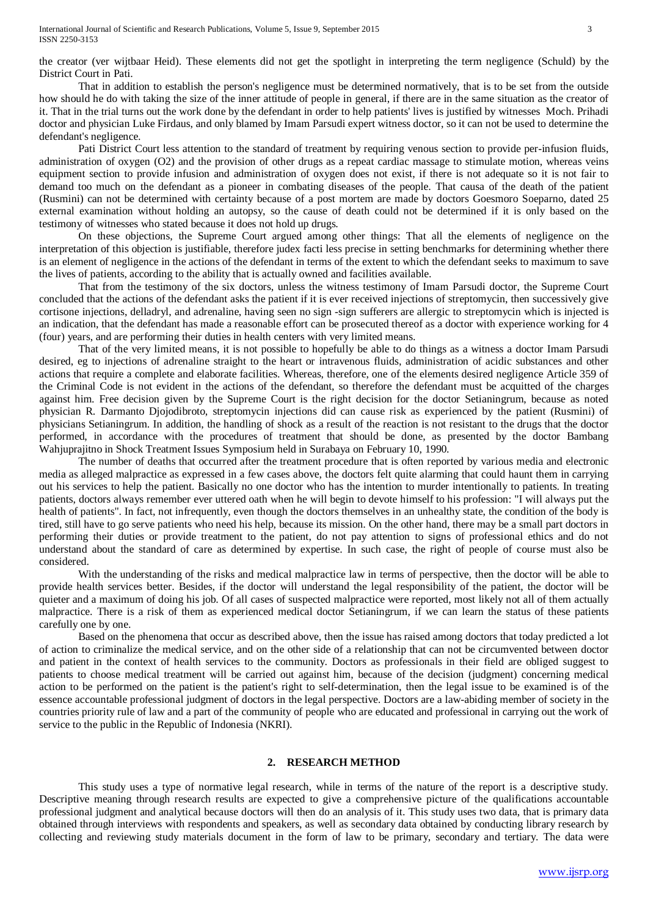the creator (ver wijtbaar Heid). These elements did not get the spotlight in interpreting the term negligence (Schuld) by the District Court in Pati.

That in addition to establish the person's negligence must be determined normatively, that is to be set from the outside how should he do with taking the size of the inner attitude of people in general, if there are in the same situation as the creator of it. That in the trial turns out the work done by the defendant in order to help patients' lives is justified by witnesses Moch. Prihadi doctor and physician Luke Firdaus, and only blamed by Imam Parsudi expert witness doctor, so it can not be used to determine the defendant's negligence.

Pati District Court less attention to the standard of treatment by requiring venous section to provide per-infusion fluids, administration of oxygen (O2) and the provision of other drugs as a repeat cardiac massage to stimulate motion, whereas veins equipment section to provide infusion and administration of oxygen does not exist, if there is not adequate so it is not fair to demand too much on the defendant as a pioneer in combating diseases of the people. That causa of the death of the patient (Rusmini) can not be determined with certainty because of a post mortem are made by doctors Goesmoro Soeparno, dated 25 external examination without holding an autopsy, so the cause of death could not be determined if it is only based on the testimony of witnesses who stated because it does not hold up drugs.

On these objections, the Supreme Court argued among other things: That all the elements of negligence on the interpretation of this objection is justifiable, therefore judex facti less precise in setting benchmarks for determining whether there is an element of negligence in the actions of the defendant in terms of the extent to which the defendant seeks to maximum to save the lives of patients, according to the ability that is actually owned and facilities available.

That from the testimony of the six doctors, unless the witness testimony of Imam Parsudi doctor, the Supreme Court concluded that the actions of the defendant asks the patient if it is ever received injections of streptomycin, then successively give cortisone injections, delladryl, and adrenaline, having seen no sign -sign sufferers are allergic to streptomycin which is injected is an indication, that the defendant has made a reasonable effort can be prosecuted thereof as a doctor with experience working for 4 (four) years, and are performing their duties in health centers with very limited means.

That of the very limited means, it is not possible to hopefully be able to do things as a witness a doctor Imam Parsudi desired, eg to injections of adrenaline straight to the heart or intravenous fluids, administration of acidic substances and other actions that require a complete and elaborate facilities. Whereas, therefore, one of the elements desired negligence Article 359 of the Criminal Code is not evident in the actions of the defendant, so therefore the defendant must be acquitted of the charges against him. Free decision given by the Supreme Court is the right decision for the doctor Setianingrum, because as noted physician R. Darmanto Djojodibroto, streptomycin injections did can cause risk as experienced by the patient (Rusmini) of physicians Setianingrum. In addition, the handling of shock as a result of the reaction is not resistant to the drugs that the doctor performed, in accordance with the procedures of treatment that should be done, as presented by the doctor Bambang Wahjuprajitno in Shock Treatment Issues Symposium held in Surabaya on February 10, 1990.

The number of deaths that occurred after the treatment procedure that is often reported by various media and electronic media as alleged malpractice as expressed in a few cases above, the doctors felt quite alarming that could haunt them in carrying out his services to help the patient. Basically no one doctor who has the intention to murder intentionally to patients. In treating patients, doctors always remember ever uttered oath when he will begin to devote himself to his profession: "I will always put the health of patients". In fact, not infrequently, even though the doctors themselves in an unhealthy state, the condition of the body is tired, still have to go serve patients who need his help, because its mission. On the other hand, there may be a small part doctors in performing their duties or provide treatment to the patient, do not pay attention to signs of professional ethics and do not understand about the standard of care as determined by expertise. In such case, the right of people of course must also be considered.

With the understanding of the risks and medical malpractice law in terms of perspective, then the doctor will be able to provide health services better. Besides, if the doctor will understand the legal responsibility of the patient, the doctor will be quieter and a maximum of doing his job. Of all cases of suspected malpractice were reported, most likely not all of them actually malpractice. There is a risk of them as experienced medical doctor Setianingrum, if we can learn the status of these patients carefully one by one.

Based on the phenomena that occur as described above, then the issue has raised among doctors that today predicted a lot of action to criminalize the medical service, and on the other side of a relationship that can not be circumvented between doctor and patient in the context of health services to the community. Doctors as professionals in their field are obliged suggest to patients to choose medical treatment will be carried out against him, because of the decision (judgment) concerning medical action to be performed on the patient is the patient's right to self-determination, then the legal issue to be examined is of the essence accountable professional judgment of doctors in the legal perspective. Doctors are a law-abiding member of society in the countries priority rule of law and a part of the community of people who are educated and professional in carrying out the work of service to the public in the Republic of Indonesia (NKRI).

# **2. RESEARCH METHOD**

This study uses a type of normative legal research, while in terms of the nature of the report is a descriptive study. Descriptive meaning through research results are expected to give a comprehensive picture of the qualifications accountable professional judgment and analytical because doctors will then do an analysis of it. This study uses two data, that is primary data obtained through interviews with respondents and speakers, as well as secondary data obtained by conducting library research by collecting and reviewing study materials document in the form of law to be primary, secondary and tertiary. The data were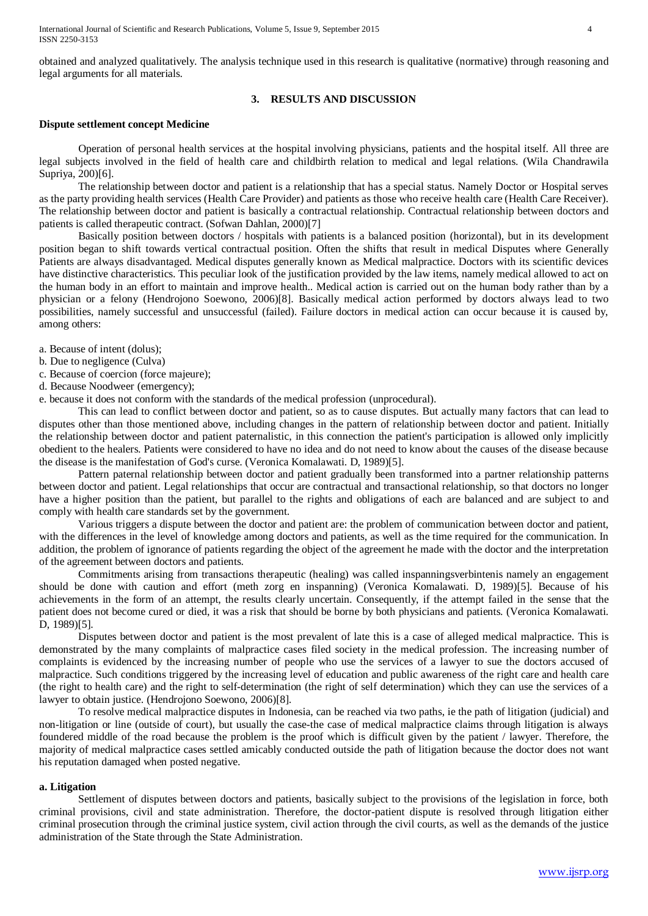obtained and analyzed qualitatively. The analysis technique used in this research is qualitative (normative) through reasoning and legal arguments for all materials.

# **3. RESULTS AND DISCUSSION**

#### **Dispute settlement concept Medicine**

Operation of personal health services at the hospital involving physicians, patients and the hospital itself. All three are legal subjects involved in the field of health care and childbirth relation to medical and legal relations. (Wila Chandrawila Supriya, 200)[6].

The relationship between doctor and patient is a relationship that has a special status. Namely Doctor or Hospital serves as the party providing health services (Health Care Provider) and patients as those who receive health care (Health Care Receiver). The relationship between doctor and patient is basically a contractual relationship. Contractual relationship between doctors and patients is called therapeutic contract. (Sofwan Dahlan, 2000)[7]

Basically position between doctors / hospitals with patients is a balanced position (horizontal), but in its development position began to shift towards vertical contractual position. Often the shifts that result in medical Disputes where Generally Patients are always disadvantaged. Medical disputes generally known as Medical malpractice. Doctors with its scientific devices have distinctive characteristics. This peculiar look of the justification provided by the law items, namely medical allowed to act on the human body in an effort to maintain and improve health.. Medical action is carried out on the human body rather than by a physician or a felony (Hendrojono Soewono, 2006)[8]. Basically medical action performed by doctors always lead to two possibilities, namely successful and unsuccessful (failed). Failure doctors in medical action can occur because it is caused by, among others:

a. Because of intent (dolus);

- b. Due to negligence (Culva)
- c. Because of coercion (force majeure);
- d. Because Noodweer (emergency);

e. because it does not conform with the standards of the medical profession (unprocedural).

This can lead to conflict between doctor and patient, so as to cause disputes. But actually many factors that can lead to disputes other than those mentioned above, including changes in the pattern of relationship between doctor and patient. Initially the relationship between doctor and patient paternalistic, in this connection the patient's participation is allowed only implicitly obedient to the healers. Patients were considered to have no idea and do not need to know about the causes of the disease because the disease is the manifestation of God's curse. (Veronica Komalawati. D, 1989)[5].

Pattern paternal relationship between doctor and patient gradually been transformed into a partner relationship patterns between doctor and patient. Legal relationships that occur are contractual and transactional relationship, so that doctors no longer have a higher position than the patient, but parallel to the rights and obligations of each are balanced and are subject to and comply with health care standards set by the government.

Various triggers a dispute between the doctor and patient are: the problem of communication between doctor and patient, with the differences in the level of knowledge among doctors and patients, as well as the time required for the communication. In addition, the problem of ignorance of patients regarding the object of the agreement he made with the doctor and the interpretation of the agreement between doctors and patients.

Commitments arising from transactions therapeutic (healing) was called inspanningsverbintenis namely an engagement should be done with caution and effort (meth zorg en inspanning) (Veronica Komalawati. D, 1989)[5]. Because of his achievements in the form of an attempt, the results clearly uncertain. Consequently, if the attempt failed in the sense that the patient does not become cured or died, it was a risk that should be borne by both physicians and patients. (Veronica Komalawati. D, 1989)[5].

Disputes between doctor and patient is the most prevalent of late this is a case of alleged medical malpractice. This is demonstrated by the many complaints of malpractice cases filed society in the medical profession. The increasing number of complaints is evidenced by the increasing number of people who use the services of a lawyer to sue the doctors accused of malpractice. Such conditions triggered by the increasing level of education and public awareness of the right care and health care (the right to health care) and the right to self-determination (the right of self determination) which they can use the services of a lawyer to obtain justice. (Hendrojono Soewono, 2006)[8].

To resolve medical malpractice disputes in Indonesia, can be reached via two paths, ie the path of litigation (judicial) and non-litigation or line (outside of court), but usually the case-the case of medical malpractice claims through litigation is always foundered middle of the road because the problem is the proof which is difficult given by the patient / lawyer. Therefore, the majority of medical malpractice cases settled amicably conducted outside the path of litigation because the doctor does not want his reputation damaged when posted negative.

#### **a. Litigation**

Settlement of disputes between doctors and patients, basically subject to the provisions of the legislation in force, both criminal provisions, civil and state administration. Therefore, the doctor-patient dispute is resolved through litigation either criminal prosecution through the criminal justice system, civil action through the civil courts, as well as the demands of the justice administration of the State through the State Administration.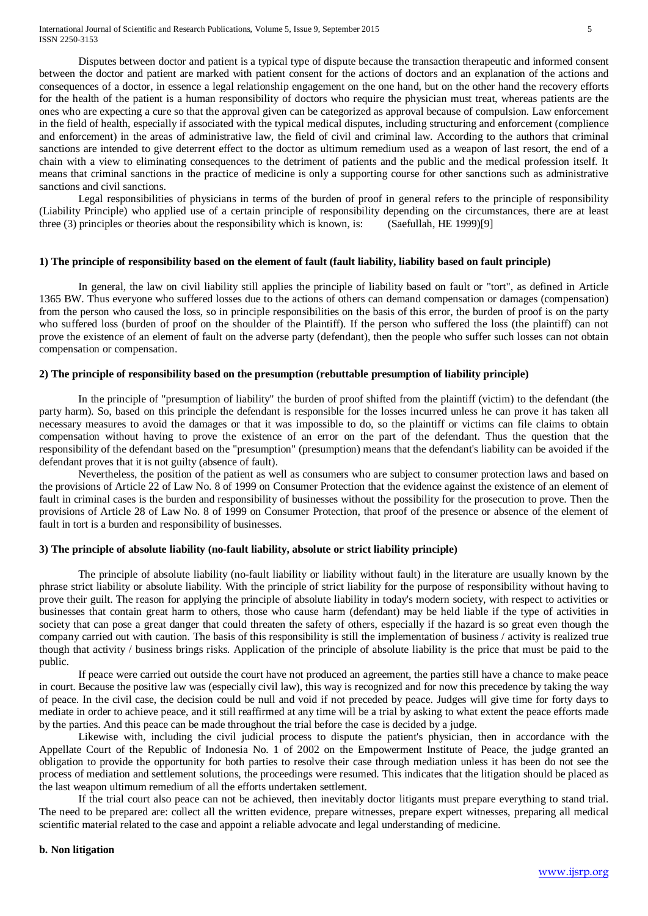Disputes between doctor and patient is a typical type of dispute because the transaction therapeutic and informed consent between the doctor and patient are marked with patient consent for the actions of doctors and an explanation of the actions and consequences of a doctor, in essence a legal relationship engagement on the one hand, but on the other hand the recovery efforts for the health of the patient is a human responsibility of doctors who require the physician must treat, whereas patients are the ones who are expecting a cure so that the approval given can be categorized as approval because of compulsion. Law enforcement in the field of health, especially if associated with the typical medical disputes, including structuring and enforcement (complience and enforcement) in the areas of administrative law, the field of civil and criminal law. According to the authors that criminal sanctions are intended to give deterrent effect to the doctor as ultimum remedium used as a weapon of last resort, the end of a chain with a view to eliminating consequences to the detriment of patients and the public and the medical profession itself. It means that criminal sanctions in the practice of medicine is only a supporting course for other sanctions such as administrative sanctions and civil sanctions.

Legal responsibilities of physicians in terms of the burden of proof in general refers to the principle of responsibility (Liability Principle) who applied use of a certain principle of responsibility depending on the circumstances, there are at least three (3) principles or theories about the responsibility which is known, is: (Saefullah, HE 1999)[9]

# **1) The principle of responsibility based on the element of fault (fault liability, liability based on fault principle)**

In general, the law on civil liability still applies the principle of liability based on fault or "tort", as defined in Article 1365 BW. Thus everyone who suffered losses due to the actions of others can demand compensation or damages (compensation) from the person who caused the loss, so in principle responsibilities on the basis of this error, the burden of proof is on the party who suffered loss (burden of proof on the shoulder of the Plaintiff). If the person who suffered the loss (the plaintiff) can not prove the existence of an element of fault on the adverse party (defendant), then the people who suffer such losses can not obtain compensation or compensation.

# **2) The principle of responsibility based on the presumption (rebuttable presumption of liability principle)**

In the principle of "presumption of liability" the burden of proof shifted from the plaintiff (victim) to the defendant (the party harm). So, based on this principle the defendant is responsible for the losses incurred unless he can prove it has taken all necessary measures to avoid the damages or that it was impossible to do, so the plaintiff or victims can file claims to obtain compensation without having to prove the existence of an error on the part of the defendant. Thus the question that the responsibility of the defendant based on the "presumption" (presumption) means that the defendant's liability can be avoided if the defendant proves that it is not guilty (absence of fault).

Nevertheless, the position of the patient as well as consumers who are subject to consumer protection laws and based on the provisions of Article 22 of Law No. 8 of 1999 on Consumer Protection that the evidence against the existence of an element of fault in criminal cases is the burden and responsibility of businesses without the possibility for the prosecution to prove. Then the provisions of Article 28 of Law No. 8 of 1999 on Consumer Protection, that proof of the presence or absence of the element of fault in tort is a burden and responsibility of businesses.

#### **3) The principle of absolute liability (no-fault liability, absolute or strict liability principle)**

The principle of absolute liability (no-fault liability or liability without fault) in the literature are usually known by the phrase strict liability or absolute liability. With the principle of strict liability for the purpose of responsibility without having to prove their guilt. The reason for applying the principle of absolute liability in today's modern society, with respect to activities or businesses that contain great harm to others, those who cause harm (defendant) may be held liable if the type of activities in society that can pose a great danger that could threaten the safety of others, especially if the hazard is so great even though the company carried out with caution. The basis of this responsibility is still the implementation of business / activity is realized true though that activity / business brings risks. Application of the principle of absolute liability is the price that must be paid to the public.

If peace were carried out outside the court have not produced an agreement, the parties still have a chance to make peace in court. Because the positive law was (especially civil law), this way is recognized and for now this precedence by taking the way of peace. In the civil case, the decision could be null and void if not preceded by peace. Judges will give time for forty days to mediate in order to achieve peace, and it still reaffirmed at any time will be a trial by asking to what extent the peace efforts made by the parties. And this peace can be made throughout the trial before the case is decided by a judge.

Likewise with, including the civil judicial process to dispute the patient's physician, then in accordance with the Appellate Court of the Republic of Indonesia No. 1 of 2002 on the Empowerment Institute of Peace, the judge granted an obligation to provide the opportunity for both parties to resolve their case through mediation unless it has been do not see the process of mediation and settlement solutions, the proceedings were resumed. This indicates that the litigation should be placed as the last weapon ultimum remedium of all the efforts undertaken settlement.

If the trial court also peace can not be achieved, then inevitably doctor litigants must prepare everything to stand trial. The need to be prepared are: collect all the written evidence, prepare witnesses, prepare expert witnesses, preparing all medical scientific material related to the case and appoint a reliable advocate and legal understanding of medicine.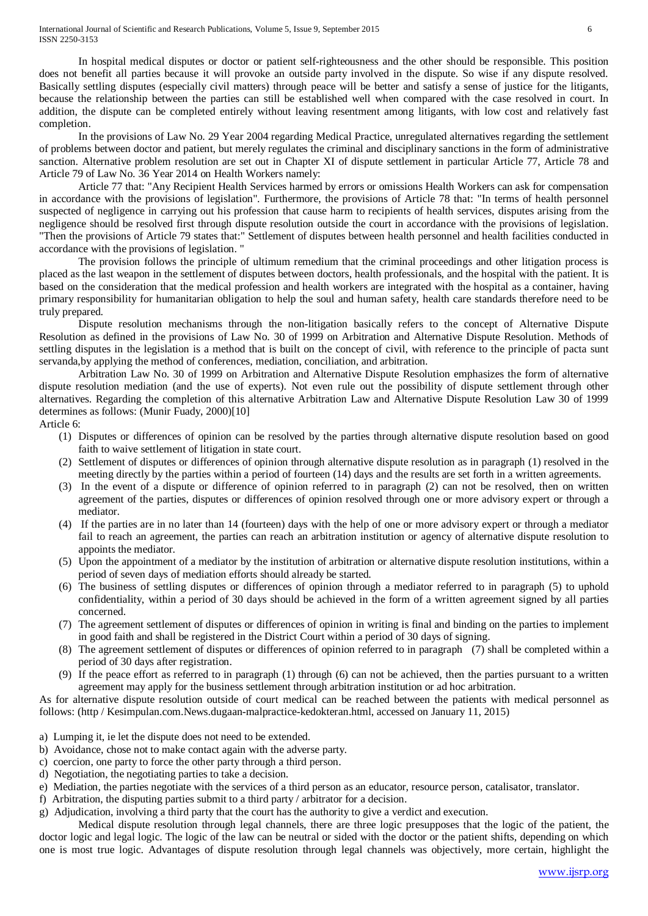In hospital medical disputes or doctor or patient self-righteousness and the other should be responsible. This position does not benefit all parties because it will provoke an outside party involved in the dispute. So wise if any dispute resolved. Basically settling disputes (especially civil matters) through peace will be better and satisfy a sense of justice for the litigants, because the relationship between the parties can still be established well when compared with the case resolved in court. In addition, the dispute can be completed entirely without leaving resentment among litigants, with low cost and relatively fast completion.

In the provisions of Law No. 29 Year 2004 regarding Medical Practice, unregulated alternatives regarding the settlement of problems between doctor and patient, but merely regulates the criminal and disciplinary sanctions in the form of administrative sanction. Alternative problem resolution are set out in Chapter XI of dispute settlement in particular Article 77, Article 78 and Article 79 of Law No. 36 Year 2014 on Health Workers namely:

Article 77 that: "Any Recipient Health Services harmed by errors or omissions Health Workers can ask for compensation in accordance with the provisions of legislation". Furthermore, the provisions of Article 78 that: "In terms of health personnel suspected of negligence in carrying out his profession that cause harm to recipients of health services, disputes arising from the negligence should be resolved first through dispute resolution outside the court in accordance with the provisions of legislation. "Then the provisions of Article 79 states that:" Settlement of disputes between health personnel and health facilities conducted in accordance with the provisions of legislation. "

The provision follows the principle of ultimum remedium that the criminal proceedings and other litigation process is placed as the last weapon in the settlement of disputes between doctors, health professionals, and the hospital with the patient. It is based on the consideration that the medical profession and health workers are integrated with the hospital as a container, having primary responsibility for humanitarian obligation to help the soul and human safety, health care standards therefore need to be truly prepared.

Dispute resolution mechanisms through the non-litigation basically refers to the concept of Alternative Dispute Resolution as defined in the provisions of Law No. 30 of 1999 on Arbitration and Alternative Dispute Resolution. Methods of settling disputes in the legislation is a method that is built on the concept of civil, with reference to the principle of pacta sunt servanda,by applying the method of conferences, mediation, conciliation, and arbitration.

Arbitration Law No. 30 of 1999 on Arbitration and Alternative Dispute Resolution emphasizes the form of alternative dispute resolution mediation (and the use of experts). Not even rule out the possibility of dispute settlement through other alternatives. Regarding the completion of this alternative Arbitration Law and Alternative Dispute Resolution Law 30 of 1999 determines as follows: (Munir Fuady, 2000)[10]

Article 6:

- (1) Disputes or differences of opinion can be resolved by the parties through alternative dispute resolution based on good faith to waive settlement of litigation in state court.
- (2) Settlement of disputes or differences of opinion through alternative dispute resolution as in paragraph (1) resolved in the meeting directly by the parties within a period of fourteen (14) days and the results are set forth in a written agreements.
- (3) In the event of a dispute or difference of opinion referred to in paragraph (2) can not be resolved, then on written agreement of the parties, disputes or differences of opinion resolved through one or more advisory expert or through a mediator.
- (4) If the parties are in no later than 14 (fourteen) days with the help of one or more advisory expert or through a mediator fail to reach an agreement, the parties can reach an arbitration institution or agency of alternative dispute resolution to appoints the mediator.
- (5) Upon the appointment of a mediator by the institution of arbitration or alternative dispute resolution institutions, within a period of seven days of mediation efforts should already be started.
- (6) The business of settling disputes or differences of opinion through a mediator referred to in paragraph (5) to uphold confidentiality, within a period of 30 days should be achieved in the form of a written agreement signed by all parties concerned.
- (7) The agreement settlement of disputes or differences of opinion in writing is final and binding on the parties to implement in good faith and shall be registered in the District Court within a period of 30 days of signing.
- (8) The agreement settlement of disputes or differences of opinion referred to in paragraph (7) shall be completed within a period of 30 days after registration.
- (9) If the peace effort as referred to in paragraph (1) through (6) can not be achieved, then the parties pursuant to a written agreement may apply for the business settlement through arbitration institution or ad hoc arbitration.

As for alternative dispute resolution outside of court medical can be reached between the patients with medical personnel as follows: (http / Kesimpulan.com.News.dugaan-malpractice-kedokteran.html, accessed on January 11, 2015)

- a) Lumping it, ie let the dispute does not need to be extended.
- b) Avoidance, chose not to make contact again with the adverse party.
- c) coercion, one party to force the other party through a third person.
- d) Negotiation, the negotiating parties to take a decision.
- e) Mediation, the parties negotiate with the services of a third person as an educator, resource person, catalisator, translator.
- f) Arbitration, the disputing parties submit to a third party / arbitrator for a decision.
- g) Adjudication, involving a third party that the court has the authority to give a verdict and execution.

Medical dispute resolution through legal channels, there are three logic presupposes that the logic of the patient, the doctor logic and legal logic. The logic of the law can be neutral or sided with the doctor or the patient shifts, depending on which one is most true logic. Advantages of dispute resolution through legal channels was objectively, more certain, highlight the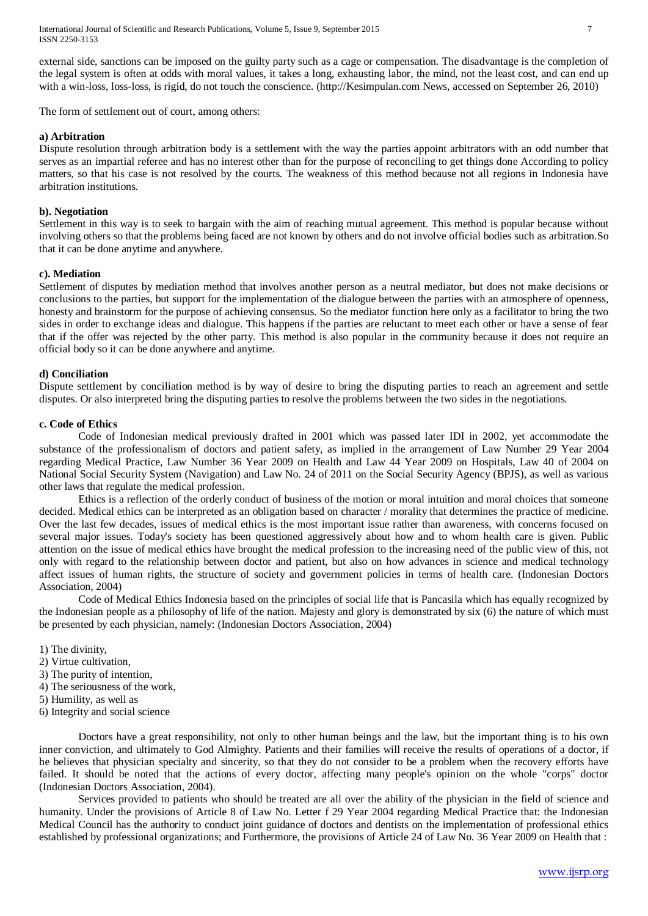International Journal of Scientific and Research Publications, Volume 5, Issue 9, September 2015 7 ISSN 2250-3153

external side, sanctions can be imposed on the guilty party such as a cage or compensation. The disadvantage is the completion of the legal system is often at odds with moral values, it takes a long, exhausting labor, the mind, not the least cost, and can end up with a win-loss, loss-loss, is rigid, do not touch the conscience. (http://Kesimpulan.com News, accessed on September 26, 2010)

The form of settlement out of court, among others:

#### **a) Arbitration**

Dispute resolution through arbitration body is a settlement with the way the parties appoint arbitrators with an odd number that serves as an impartial referee and has no interest other than for the purpose of reconciling to get things done According to policy matters, so that his case is not resolved by the courts. The weakness of this method because not all regions in Indonesia have arbitration institutions.

# **b). Negotiation**

Settlement in this way is to seek to bargain with the aim of reaching mutual agreement. This method is popular because without involving others so that the problems being faced are not known by others and do not involve official bodies such as arbitration.So that it can be done anytime and anywhere.

#### **c). Mediation**

Settlement of disputes by mediation method that involves another person as a neutral mediator, but does not make decisions or conclusions to the parties, but support for the implementation of the dialogue between the parties with an atmosphere of openness, honesty and brainstorm for the purpose of achieving consensus. So the mediator function here only as a facilitator to bring the two sides in order to exchange ideas and dialogue. This happens if the parties are reluctant to meet each other or have a sense of fear that if the offer was rejected by the other party. This method is also popular in the community because it does not require an official body so it can be done anywhere and anytime.

#### **d) Conciliation**

Dispute settlement by conciliation method is by way of desire to bring the disputing parties to reach an agreement and settle disputes. Or also interpreted bring the disputing parties to resolve the problems between the two sides in the negotiations.

## **c. Code of Ethics**

Code of Indonesian medical previously drafted in 2001 which was passed later IDI in 2002, yet accommodate the substance of the professionalism of doctors and patient safety, as implied in the arrangement of Law Number 29 Year 2004 regarding Medical Practice, Law Number 36 Year 2009 on Health and Law 44 Year 2009 on Hospitals, Law 40 of 2004 on National Social Security System (Navigation) and Law No. 24 of 2011 on the Social Security Agency (BPJS), as well as various other laws that regulate the medical profession.

Ethics is a reflection of the orderly conduct of business of the motion or moral intuition and moral choices that someone decided. Medical ethics can be interpreted as an obligation based on character / morality that determines the practice of medicine. Over the last few decades, issues of medical ethics is the most important issue rather than awareness, with concerns focused on several major issues. Today's society has been questioned aggressively about how and to whom health care is given. Public attention on the issue of medical ethics have brought the medical profession to the increasing need of the public view of this, not only with regard to the relationship between doctor and patient, but also on how advances in science and medical technology affect issues of human rights, the structure of society and government policies in terms of health care. (Indonesian Doctors Association, 2004)

Code of Medical Ethics Indonesia based on the principles of social life that is Pancasila which has equally recognized by the Indonesian people as a philosophy of life of the nation. Majesty and glory is demonstrated by six (6) the nature of which must be presented by each physician, namely: (Indonesian Doctors Association, 2004)

- 1) The divinity,
- 2) Virtue cultivation,
- 3) The purity of intention,
- 4) The seriousness of the work,
- 5) Humility, as well as
- 6) Integrity and social science

Doctors have a great responsibility, not only to other human beings and the law, but the important thing is to his own inner conviction, and ultimately to God Almighty. Patients and their families will receive the results of operations of a doctor, if he believes that physician specialty and sincerity, so that they do not consider to be a problem when the recovery efforts have failed. It should be noted that the actions of every doctor, affecting many people's opinion on the whole "corps" doctor (Indonesian Doctors Association, 2004).

Services provided to patients who should be treated are all over the ability of the physician in the field of science and humanity. Under the provisions of Article 8 of Law No. Letter f 29 Year 2004 regarding Medical Practice that: the Indonesian Medical Council has the authority to conduct joint guidance of doctors and dentists on the implementation of professional ethics established by professional organizations; and Furthermore, the provisions of Article 24 of Law No. 36 Year 2009 on Health that :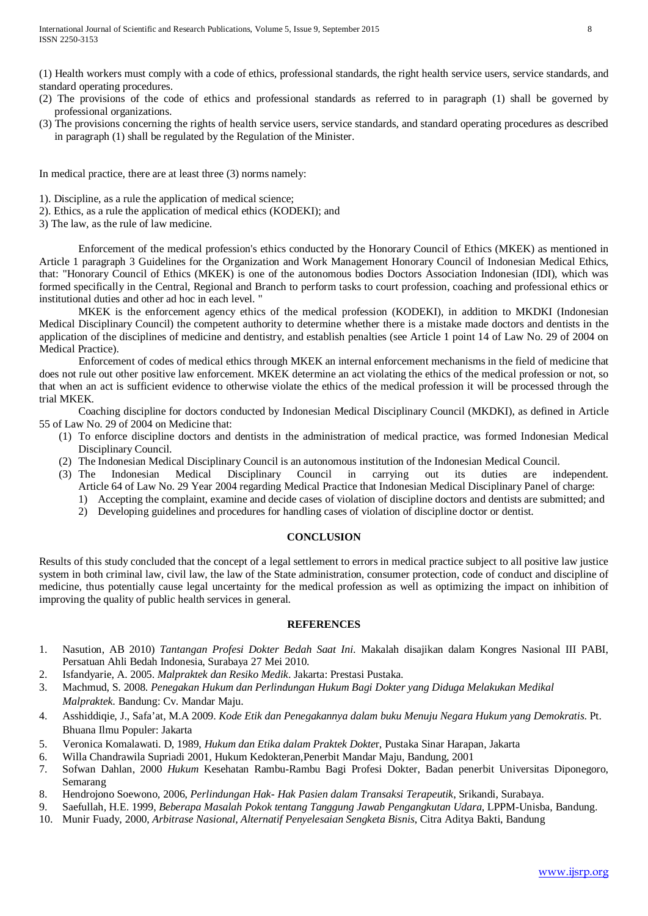(1) Health workers must comply with a code of ethics, professional standards, the right health service users, service standards, and standard operating procedures.

- (2) The provisions of the code of ethics and professional standards as referred to in paragraph (1) shall be governed by professional organizations.
- (3) The provisions concerning the rights of health service users, service standards, and standard operating procedures as described in paragraph (1) shall be regulated by the Regulation of the Minister.

In medical practice, there are at least three (3) norms namely:

- 1). Discipline, as a rule the application of medical science;
- 2). Ethics, as a rule the application of medical ethics (KODEKI); and
- 3) The law, as the rule of law medicine.

Enforcement of the medical profession's ethics conducted by the Honorary Council of Ethics (MKEK) as mentioned in Article 1 paragraph 3 Guidelines for the Organization and Work Management Honorary Council of Indonesian Medical Ethics, that: "Honorary Council of Ethics (MKEK) is one of the autonomous bodies Doctors Association Indonesian (IDI), which was formed specifically in the Central, Regional and Branch to perform tasks to court profession, coaching and professional ethics or institutional duties and other ad hoc in each level. "

MKEK is the enforcement agency ethics of the medical profession (KODEKI), in addition to MKDKI (Indonesian Medical Disciplinary Council) the competent authority to determine whether there is a mistake made doctors and dentists in the application of the disciplines of medicine and dentistry, and establish penalties (see Article 1 point 14 of Law No. 29 of 2004 on Medical Practice).

Enforcement of codes of medical ethics through MKEK an internal enforcement mechanisms in the field of medicine that does not rule out other positive law enforcement. MKEK determine an act violating the ethics of the medical profession or not, so that when an act is sufficient evidence to otherwise violate the ethics of the medical profession it will be processed through the trial MKEK.

Coaching discipline for doctors conducted by Indonesian Medical Disciplinary Council (MKDKI), as defined in Article 55 of Law No. 29 of 2004 on Medicine that:

- (1) To enforce discipline doctors and dentists in the administration of medical practice, was formed Indonesian Medical Disciplinary Council.
- (2) The Indonesian Medical Disciplinary Council is an autonomous institution of the Indonesian Medical Council.
- (3) The Indonesian Medical Disciplinary Council in carrying out its duties are independent. Article 64 of Law No. 29 Year 2004 regarding Medical Practice that Indonesian Medical Disciplinary Panel of charge:
	- 1) Accepting the complaint, examine and decide cases of violation of discipline doctors and dentists are submitted; and
	- 2) Developing guidelines and procedures for handling cases of violation of discipline doctor or dentist.

#### **CONCLUSION**

Results of this study concluded that the concept of a legal settlement to errors in medical practice subject to all positive law justice system in both criminal law, civil law, the law of the State administration, consumer protection, code of conduct and discipline of medicine, thus potentially cause legal uncertainty for the medical profession as well as optimizing the impact on inhibition of improving the quality of public health services in general.

### **REFERENCES**

- 1. Nasution, AB 2010) *Tantangan Profesi Dokter Bedah Saat Ini*. Makalah disajikan dalam Kongres Nasional III PABI, Persatuan Ahli Bedah Indonesia, Surabaya 27 Mei 2010.
- 2. Isfandyarie, A. 2005. *Malpraktek dan Resiko Medik*. Jakarta: Prestasi Pustaka.
- 3. Machmud, S. 2008. *Penegakan Hukum dan Perlindungan Hukum Bagi Dokter yang Diduga Melakukan Medikal Malpraktek*. Bandung: Cv. Mandar Maju.
- 4. Asshiddiqie, J., Safa'at, M.A 2009. *Kode Etik dan Penegakannya dalam buku Menuju Negara Hukum yang Demokratis*. Pt. Bhuana Ilmu Populer: Jakarta
- 5. Veronica Komalawati. D, 1989, *Hukum dan Etika dalam Praktek Dokte*r, Pustaka Sinar Harapan, Jakarta
- 6. Willa Chandrawila Supriadi 2001, Hukum Kedokteran,Penerbit Mandar Maju, Bandung, 2001
- 7. Sofwan Dahlan, 2000 *Hukum* Kesehatan Rambu-Rambu Bagi Profesi Dokter, Badan penerbit Universitas Diponegoro, Semarang
- 8. Hendrojono Soewono*,* 2006, *Perlindungan Hak- Hak Pasien dalam Transaksi Terapeutik*, Srikandi, Surabaya.
- 9. Saefullah, H.E. 1999, *Beberapa Masalah Pokok tentang Tanggung Jawab Pengangkutan Udara*, LPPM-Unisba, Bandung.
- 10. Munir Fuady, 2000, *Arbitrase Nasional, Alternatif Penyelesaian Sengketa Bisnis*, Citra Aditya Bakti, Bandung